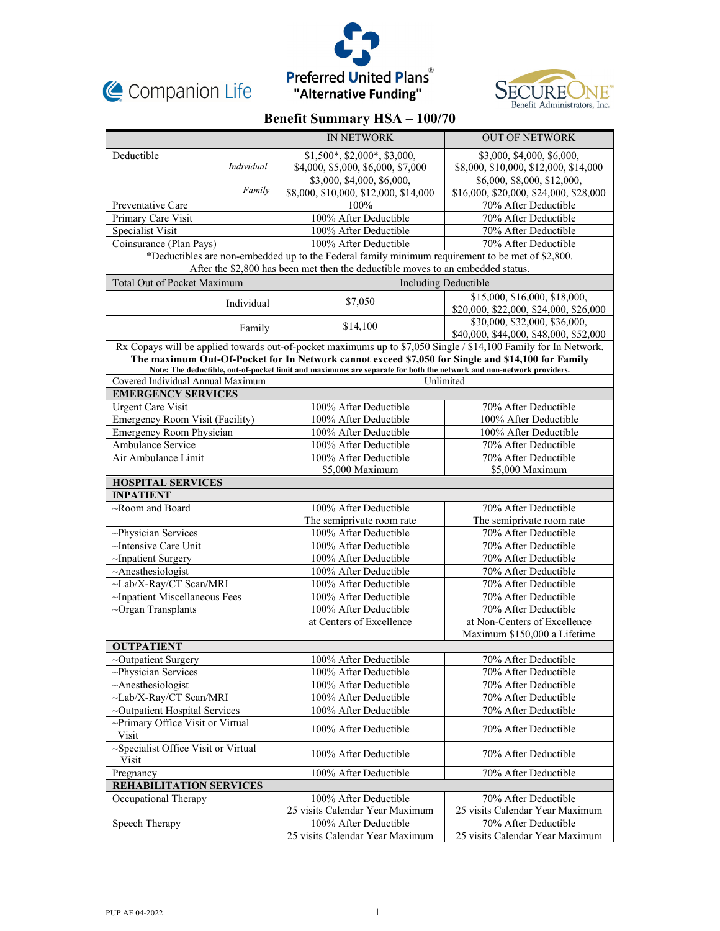





# **Benefit Summary HSA – 100/70**

|                                                                                                                                                                                     | <b>IN NETWORK</b>                                                                                                                                                                                                        | <b>OUT OF NETWORK</b>                  |  |
|-------------------------------------------------------------------------------------------------------------------------------------------------------------------------------------|--------------------------------------------------------------------------------------------------------------------------------------------------------------------------------------------------------------------------|----------------------------------------|--|
| Deductible                                                                                                                                                                          | $$1,500^*, $2,000^*, $3,000,$                                                                                                                                                                                            | \$3,000, \$4,000, \$6,000,             |  |
| Individual                                                                                                                                                                          | \$4,000, \$5,000, \$6,000, \$7,000                                                                                                                                                                                       | \$8,000, \$10,000, \$12,000, \$14,000  |  |
|                                                                                                                                                                                     | \$3,000, \$4,000, \$6,000,                                                                                                                                                                                               | \$6,000, \$8,000, \$12,000,            |  |
| Family                                                                                                                                                                              | \$8,000, \$10,000, \$12,000, \$14,000                                                                                                                                                                                    | \$16,000, \$20,000, \$24,000, \$28,000 |  |
| Preventative Care                                                                                                                                                                   | 100%                                                                                                                                                                                                                     | 70% After Deductible                   |  |
| Primary Care Visit                                                                                                                                                                  | 100% After Deductible                                                                                                                                                                                                    | 70% After Deductible                   |  |
| Specialist Visit                                                                                                                                                                    | 100% After Deductible                                                                                                                                                                                                    | 70% After Deductible                   |  |
| Coinsurance (Plan Pays)                                                                                                                                                             | 100% After Deductible                                                                                                                                                                                                    | 70% After Deductible                   |  |
| *Deductibles are non-embedded up to the Federal family minimum requirement to be met of \$2,800.<br>After the \$2,800 has been met then the deductible moves to an embedded status. |                                                                                                                                                                                                                          |                                        |  |
| <b>Total Out of Pocket Maximum</b>                                                                                                                                                  | Including Deductible                                                                                                                                                                                                     |                                        |  |
| Individual                                                                                                                                                                          | \$7,050                                                                                                                                                                                                                  | \$15,000, \$16,000, \$18,000,          |  |
|                                                                                                                                                                                     |                                                                                                                                                                                                                          | \$20,000, \$22,000, \$24,000, \$26,000 |  |
| Family                                                                                                                                                                              | \$14,100                                                                                                                                                                                                                 | \$30,000, \$32,000, \$36,000,          |  |
|                                                                                                                                                                                     |                                                                                                                                                                                                                          | \$40,000, \$44,000, \$48,000, \$52,000 |  |
| Rx Copays will be applied towards out-of-pocket maximums up to \$7,050 Single / \$14,100 Family for In Network.                                                                     |                                                                                                                                                                                                                          |                                        |  |
|                                                                                                                                                                                     | The maximum Out-Of-Pocket for In Network cannot exceed \$7,050 for Single and \$14,100 for Family<br>Note: The deductible, out-of-pocket limit and maximums are separate for both the network and non-network providers. |                                        |  |
| Covered Individual Annual Maximum                                                                                                                                                   | Unlimited                                                                                                                                                                                                                |                                        |  |
| <b>EMERGENCY SERVICES</b>                                                                                                                                                           |                                                                                                                                                                                                                          |                                        |  |
| <b>Urgent Care Visit</b>                                                                                                                                                            | 100% After Deductible                                                                                                                                                                                                    | 70% After Deductible                   |  |
| <b>Emergency Room Visit (Facility)</b>                                                                                                                                              | 100% After Deductible                                                                                                                                                                                                    | 100% After Deductible                  |  |
| Emergency Room Physician                                                                                                                                                            | 100% After Deductible                                                                                                                                                                                                    | 100% After Deductible                  |  |
| Ambulance Service                                                                                                                                                                   | 100% After Deductible                                                                                                                                                                                                    | 70% After Deductible                   |  |
| Air Ambulance Limit                                                                                                                                                                 | 100% After Deductible                                                                                                                                                                                                    | 70% After Deductible                   |  |
|                                                                                                                                                                                     | \$5,000 Maximum                                                                                                                                                                                                          | \$5,000 Maximum                        |  |
| <b>HOSPITAL SERVICES</b>                                                                                                                                                            |                                                                                                                                                                                                                          |                                        |  |
| <b>INPATIENT</b>                                                                                                                                                                    |                                                                                                                                                                                                                          |                                        |  |
| $\sim$ Room and Board                                                                                                                                                               | 100% After Deductible                                                                                                                                                                                                    | 70% After Deductible                   |  |
|                                                                                                                                                                                     | The semiprivate room rate                                                                                                                                                                                                | The semiprivate room rate              |  |
| ~Physician Services                                                                                                                                                                 | 100% After Deductible                                                                                                                                                                                                    | 70% After Deductible                   |  |
| ~Intensive Care Unit                                                                                                                                                                | 100% After Deductible                                                                                                                                                                                                    | 70% After Deductible                   |  |
| $\sim$ Inpatient Surgery                                                                                                                                                            | 100% After Deductible                                                                                                                                                                                                    | 70% After Deductible                   |  |
| $~\sim$ Anesthesiologist                                                                                                                                                            | 100% After Deductible                                                                                                                                                                                                    | 70% After Deductible                   |  |
| ~Lab/X-Ray/CT Scan/MRI                                                                                                                                                              | 100% After Deductible                                                                                                                                                                                                    | 70% After Deductible                   |  |
| ~Inpatient Miscellaneous Fees                                                                                                                                                       | 100% After Deductible                                                                                                                                                                                                    | 70% After Deductible                   |  |
| $\sim$ Organ Transplants                                                                                                                                                            | 100% After Deductible                                                                                                                                                                                                    | 70% After Deductible                   |  |
|                                                                                                                                                                                     | at Centers of Excellence                                                                                                                                                                                                 | at Non-Centers of Excellence           |  |
|                                                                                                                                                                                     |                                                                                                                                                                                                                          | Maximum \$150,000 a Lifetime           |  |
| <b>OUTPATIENT</b>                                                                                                                                                                   |                                                                                                                                                                                                                          |                                        |  |
| ~Outpatient Surgery                                                                                                                                                                 | 100% After Deductible                                                                                                                                                                                                    | 70% After Deductible                   |  |
| ~Physician Services                                                                                                                                                                 | 100% After Deductible                                                                                                                                                                                                    | 70% After Deductible                   |  |
| $~\sim$ Anesthesiologist                                                                                                                                                            | 100% After Deductible                                                                                                                                                                                                    | 70% After Deductible                   |  |
| ~Lab/X-Ray/CT Scan/MRI                                                                                                                                                              | 100% After Deductible                                                                                                                                                                                                    | 70% After Deductible                   |  |
| ~Outpatient Hospital Services                                                                                                                                                       | 100% After Deductible                                                                                                                                                                                                    | 70% After Deductible                   |  |
| ~Primary Office Visit or Virtual<br>Visit                                                                                                                                           | 100% After Deductible                                                                                                                                                                                                    | 70% After Deductible                   |  |
| ~Specialist Office Visit or Virtual<br>Visit                                                                                                                                        | 100% After Deductible                                                                                                                                                                                                    | 70% After Deductible                   |  |
| Pregnancy                                                                                                                                                                           | 100% After Deductible                                                                                                                                                                                                    | 70% After Deductible                   |  |
| <b>REHABILITATION SERVICES</b>                                                                                                                                                      |                                                                                                                                                                                                                          |                                        |  |
| Occupational Therapy                                                                                                                                                                | 100% After Deductible                                                                                                                                                                                                    | 70% After Deductible                   |  |
|                                                                                                                                                                                     | 25 visits Calendar Year Maximum                                                                                                                                                                                          | 25 visits Calendar Year Maximum        |  |
| Speech Therapy                                                                                                                                                                      | 100% After Deductible                                                                                                                                                                                                    | 70% After Deductible                   |  |
|                                                                                                                                                                                     | 25 visits Calendar Year Maximum                                                                                                                                                                                          | 25 visits Calendar Year Maximum        |  |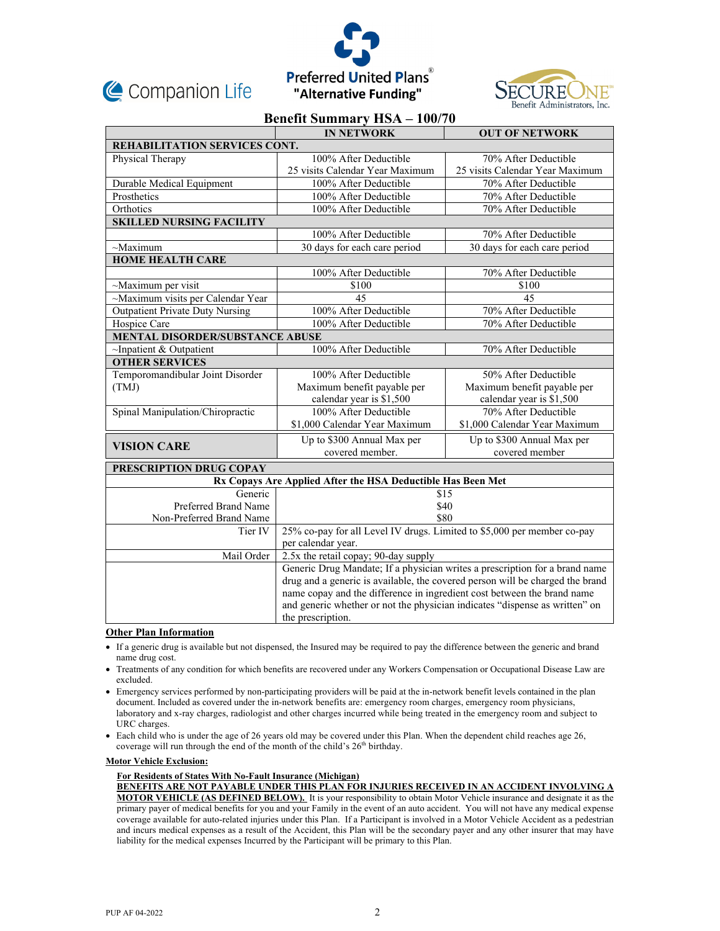





## **Benefit Summary HSA – 100/70**

|                                                             | <b>IN NETWORK</b>                                                             | <b>OUT OF NETWORK</b>           |  |
|-------------------------------------------------------------|-------------------------------------------------------------------------------|---------------------------------|--|
| REHABILITATION SERVICES CONT.                               |                                                                               |                                 |  |
| Physical Therapy                                            | 100% After Deductible                                                         | 70% After Deductible            |  |
|                                                             | 25 visits Calendar Year Maximum                                               | 25 visits Calendar Year Maximum |  |
| Durable Medical Equipment                                   | 100% After Deductible                                                         | 70% After Deductible            |  |
| Prosthetics                                                 | 100% After Deductible                                                         | 70% After Deductible            |  |
| Orthotics                                                   | 100% After Deductible                                                         | 70% After Deductible            |  |
| <b>SKILLED NURSING FACILITY</b>                             |                                                                               |                                 |  |
|                                                             | 100% After Deductible                                                         | 70% After Deductible            |  |
| $~\sim$ Maximum                                             | 30 days for each care period                                                  | 30 days for each care period    |  |
| <b>HOME HEALTH CARE</b>                                     |                                                                               |                                 |  |
|                                                             | 100% After Deductible                                                         | 70% After Deductible            |  |
| ~Maximum per visit                                          | \$100                                                                         | \$100                           |  |
| ~Maximum visits per Calendar Year                           | 45                                                                            | 45                              |  |
| <b>Outpatient Private Duty Nursing</b>                      | 100% After Deductible                                                         | 70% After Deductible            |  |
| Hospice Care                                                | 100% After Deductible                                                         | 70% After Deductible            |  |
| <b>MENTAL DISORDER/SUBSTANCE ABUSE</b>                      |                                                                               |                                 |  |
| $\sim$ Inpatient & Outpatient                               | 100% After Deductible                                                         | 70% After Deductible            |  |
| <b>OTHER SERVICES</b>                                       |                                                                               |                                 |  |
| Temporomandibular Joint Disorder                            | 100% After Deductible                                                         | 50% After Deductible            |  |
| (TMJ)                                                       | Maximum benefit payable per                                                   | Maximum benefit payable per     |  |
|                                                             | calendar year is \$1,500                                                      | calendar year is \$1,500        |  |
| Spinal Manipulation/Chiropractic                            | 100% After Deductible                                                         | 70% After Deductible            |  |
|                                                             | \$1,000 Calendar Year Maximum                                                 | \$1,000 Calendar Year Maximum   |  |
|                                                             | Up to \$300 Annual Max per                                                    | Up to \$300 Annual Max per      |  |
| <b>VISION CARE</b>                                          | covered member.                                                               | covered member                  |  |
| PRESCRIPTION DRUG COPAY                                     |                                                                               |                                 |  |
| Rx Copays Are Applied After the HSA Deductible Has Been Met |                                                                               |                                 |  |
| Generic                                                     | \$15                                                                          |                                 |  |
| Preferred Brand Name                                        | \$40                                                                          |                                 |  |
| Non-Preferred Brand Name                                    | \$80                                                                          |                                 |  |
| Tier IV                                                     | 25% co-pay for all Level IV drugs. Limited to \$5,000 per member co-pay       |                                 |  |
|                                                             | per calendar year.                                                            |                                 |  |
| Mail Order                                                  | 2.5x the retail copay; 90-day supply                                          |                                 |  |
|                                                             | Generic Drug Mandate; If a physician writes a prescription for a brand name   |                                 |  |
|                                                             | drug and a generic is available, the covered person will be charged the brand |                                 |  |
|                                                             | name copay and the difference in ingredient cost between the brand name       |                                 |  |
|                                                             | and generic whether or not the physician indicates "dispense as written" on   |                                 |  |
|                                                             | the prescription.                                                             |                                 |  |

#### **Other Plan Information**

- If a generic drug is available but not dispensed, the Insured may be required to pay the difference between the generic and brand name drug cost.
- Treatments of any condition for which benefits are recovered under any Workers Compensation or Occupational Disease Law are excluded.
- Emergency services performed by non-participating providers will be paid at the in-network benefit levels contained in the plan document. Included as covered under the in-network benefits are: emergency room charges, emergency room physicians, laboratory and x-ray charges, radiologist and other charges incurred while being treated in the emergency room and subject to URC charges.
- Each child who is under the age of 26 years old may be covered under this Plan. When the dependent child reaches age 26, coverage will run through the end of the month of the child's  $26<sup>th</sup>$  birthday.

### **Motor Vehicle Exclusion:**

#### **For Residents of States With No-Fault Insurance (Michigan)**

**BENEFITS ARE NOT PAYABLE UNDER THIS PLAN FOR INJURIES RECEIVED IN AN ACCIDENT INVOLVING A MOTOR VEHICLE (AS DEFINED BELOW).** It is your responsibility to obtain Motor Vehicle insurance and designate it as the primary payer of medical benefits for you and your Family in the event of an auto accident. You will not have any medical expense coverage available for auto-related injuries under this Plan. If a Participant is involved in a Motor Vehicle Accident as a pedestrian and incurs medical expenses as a result of the Accident, this Plan will be the secondary payer and any other insurer that may have liability for the medical expenses Incurred by the Participant will be primary to this Plan.